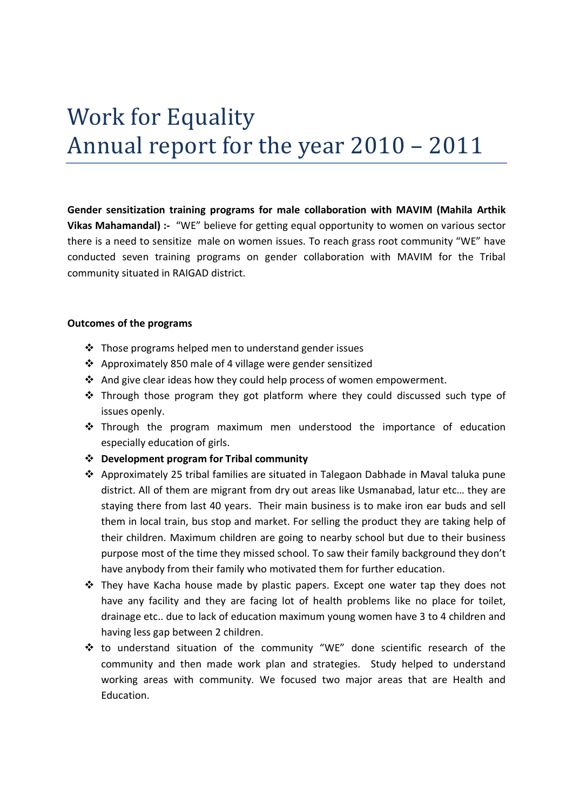# Work for Equality Annual report for the year 2010 – 2011

Gender sensitization training programs for male collaboration with MAVIM (Mahila Arthik Vikas Mahamandal) :- "WE" believe for getting equal opportunity to women on various sector there is a need to sensitize male on women issues. To reach grass root community "WE" have conducted seven training programs on gender collaboration with MAVIM for the Tribal community situated in RAIGAD district.

### Outcomes of the programs

- $\cdot$  Those programs helped men to understand gender issues
- Approximately 850 male of 4 village were gender sensitized
- And give clear ideas how they could help process of women empowerment.
- \* Through those program they got platform where they could discussed such type of issues openly.
- \* Through the program maximum men understood the importance of education especially education of girls.
- Development program for Tribal community
- $\triangle$  Approximately 25 tribal families are situated in Talegaon Dabhade in Maval taluka pune district. All of them are migrant from dry out areas like Usmanabad, latur etc… they are staying there from last 40 years. Their main business is to make iron ear buds and sell them in local train, bus stop and market. For selling the product they are taking help of their children. Maximum children are going to nearby school but due to their business purpose most of the time they missed school. To saw their family background they don't have anybody from their family who motivated them for further education.
- $\clubsuit$  They have Kacha house made by plastic papers. Except one water tap they does not have any facility and they are facing lot of health problems like no place for toilet, drainage etc.. due to lack of education maximum young women have 3 to 4 children and having less gap between 2 children.
- \* to understand situation of the community "WE" done scientific research of the community and then made work plan and strategies. Study helped to understand working areas with community. We focused two major areas that are Health and Education.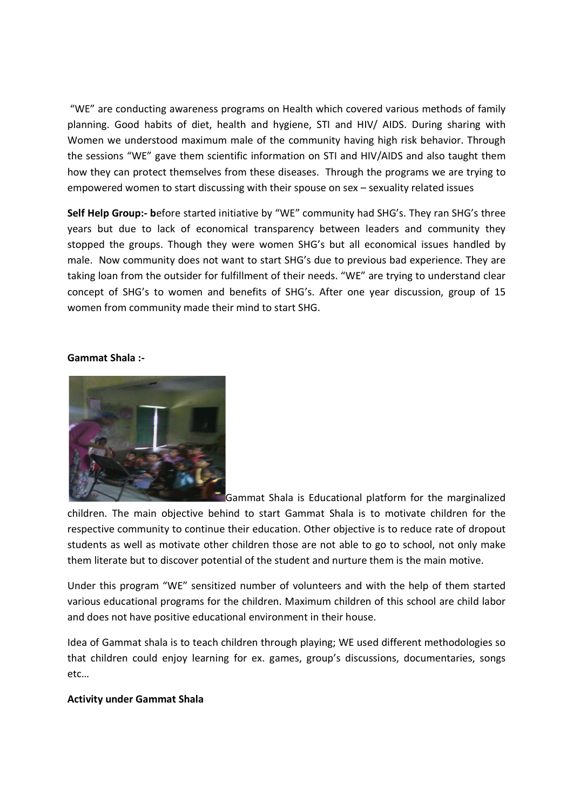"WE" are conducting awareness programs on Health which covered various methods of family planning. Good habits of diet, health and hygiene, STI and HIV/ AIDS. During sharing with Women we understood maximum male of the community having high risk behavior. Through the sessions "WE" gave them scientific information on STI and HIV/AIDS and also taught them how they can protect themselves from these diseases. Through the programs we are trying to empowered women to start discussing with their spouse on sex – sexuality related issues

Self Help Group:- before started initiative by "WE" community had SHG's. They ran SHG's three years but due to lack of economical transparency between leaders and community they stopped the groups. Though they were women SHG's but all economical issues handled by male. Now community does not want to start SHG's due to previous bad experience. They are taking loan from the outsider for fulfillment of their needs. "WE" are trying to understand clear concept of SHG's to women and benefits of SHG's. After one year discussion, group of 15 women from community made their mind to start SHG.

#### Gammat Shala :-



Gammat Shala is Educational platform for the marginalized

children. The main objective behind to start Gammat Shala is to motivate children for the respective community to continue their education. Other objective is to reduce rate of dropout students as well as motivate other children those are not able to go to school, not only make them literate but to discover potential of the student and nurture them is the main motive.

Under this program "WE" sensitized number of volunteers and with the help of them started various educational programs for the children. Maximum children of this school are child labor and does not have positive educational environment in their house.

Idea of Gammat shala is to teach children through playing; WE used different methodologies so that children could enjoy learning for ex. games, group's discussions, documentaries, songs etc…

#### Activity under Gammat Shala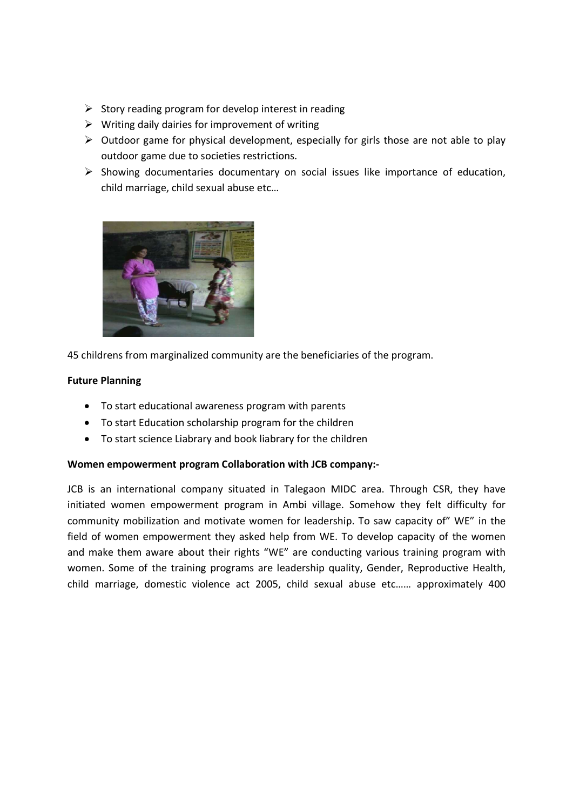- $\triangleright$  Story reading program for develop interest in reading
- $\triangleright$  Writing daily dairies for improvement of writing
- $\triangleright$  Outdoor game for physical development, especially for girls those are not able to play outdoor game due to societies restrictions.
- $\triangleright$  Showing documentaries documentary on social issues like importance of education, child marriage, child sexual abuse etc…



45 childrens from marginalized community are the beneficiaries of the program.

## Future Planning

- To start educational awareness program with parents
- To start Education scholarship program for the children
- To start science Liabrary and book liabrary for the children

## Women empowerment program Collaboration with JCB company:-

JCB is an international company situated in Talegaon MIDC area. Through CSR, they have initiated women empowerment program in Ambi village. Somehow they felt difficulty for community mobilization and motivate women for leadership. To saw capacity of" WE" in the field of women empowerment they asked help from WE. To develop capacity of the women and make them aware about their rights "WE" are conducting various training program with women. Some of the training programs are leadership quality, Gender, Reproductive Health, child marriage, domestic violence act 2005, child sexual abuse etc…… approximately 400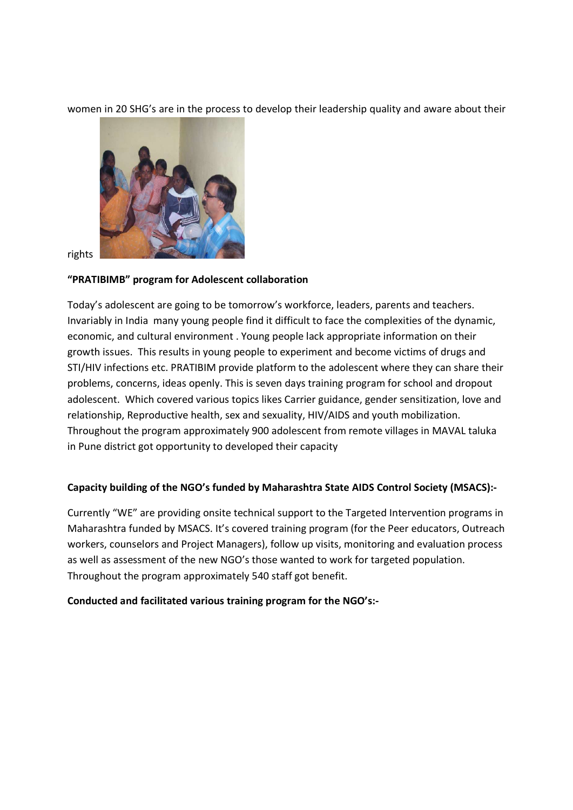women in 20 SHG's are in the process to develop their leadership quality and aware about their



rights

# "PRATIBIMB" program for Adolescent collaboration

Today's adolescent are going to be tomorrow's workforce, leaders, parents and teachers. Invariably in India many young people find it difficult to face the complexities of the dynamic, economic, and cultural environment . Young people lack appropriate information on their growth issues. This results in young people to experiment and become victims of drugs and STI/HIV infections etc. PRATIBIM provide platform to the adolescent where they can share their problems, concerns, ideas openly. This is seven days training program for school and dropout adolescent. Which covered various topics likes Carrier guidance, gender sensitization, love and relationship, Reproductive health, sex and sexuality, HIV/AIDS and youth mobilization. Throughout the program approximately 900 adolescent from remote villages in MAVAL taluka in Pune district got opportunity to developed their capacity

# Capacity building of the NGO's funded by Maharashtra State AIDS Control Society (MSACS):-

Currently "WE" are providing onsite technical support to the Targeted Intervention programs in Maharashtra funded by MSACS. It's covered training program (for the Peer educators, Outreach workers, counselors and Project Managers), follow up visits, monitoring and evaluation process as well as assessment of the new NGO's those wanted to work for targeted population. Throughout the program approximately 540 staff got benefit.

# Conducted and facilitated various training program for the NGO's:-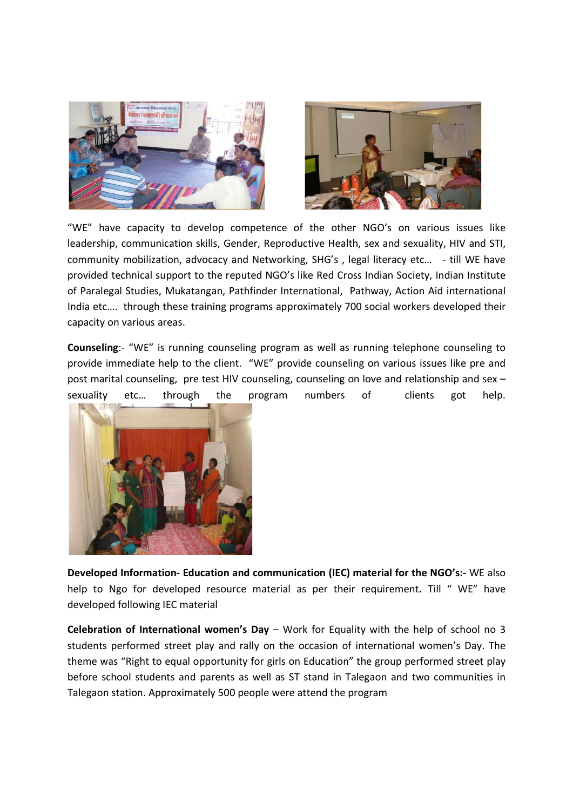



"WE" have capacity to develop competence of the other NGO's on various issues like leadership, communication skills, Gender, Reproductive Health, sex and sexuality, HIV and STI, community mobilization, advocacy and Networking, SHG's , legal literacy etc… - till WE have provided technical support to the reputed NGO's like Red Cross Indian Society, Indian Institute of Paralegal Studies, Mukatangan, Pathfinder International, Pathway, Action Aid international India etc…. through these training programs approximately 700 social workers developed their capacity on various areas.

Counseling:- "WE" is running counseling program as well as running telephone counseling to provide immediate help to the client. "WE" provide counseling on various issues like pre and post marital counseling, pre test HIV counseling, counseling on love and relationship and sex – sexuality etc… through the program numbers of clients got help.



Developed Information- Education and communication (IEC) material for the NGO's:- WE also help to Ngo for developed resource material as per their requirement. Till "WE" have developed following IEC material

Celebration of International women's Day – Work for Equality with the help of school no 3 students performed street play and rally on the occasion of international women's Day. The theme was "Right to equal opportunity for girls on Education" the group performed street play before school students and parents as well as ST stand in Talegaon and two communities in Talegaon station. Approximately 500 people were attend the program